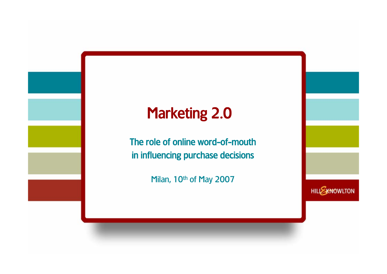## Marketing 2.0

The role of online word-of-mouth in influencing purchase decisions

Milan, 10<sup>th</sup> of May 2007

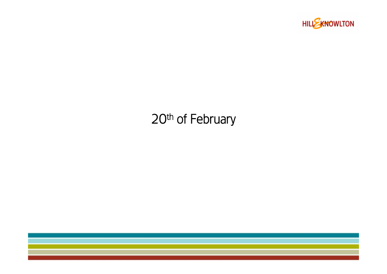

## 20<sup>th</sup> of February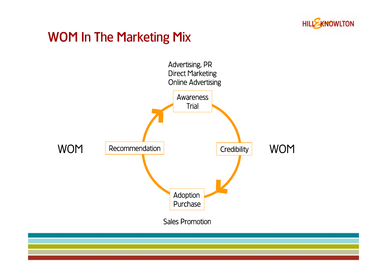

### WOM In The Marketing Mix

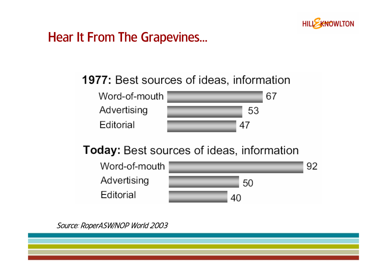

#### Hear It From The Grapevines…

#### **1977: Best sources of ideas, information**



#### **Today:** Best sources of ideas, information



Source: RoperASW/NOP World 2003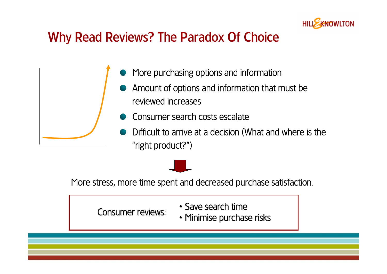

#### Why Read Reviews? The Paradox Of Choice

- More purchasing options and information
- Amount of options and information that must be reviewed increases
- Consumer search costs escalate
- Difficult to arrive at a decision (What and where is the "right product?")

More stress, more time spent and decreased purchase satisfaction.

Consumer reviews: Consumer reviews:

- $\cdot$  Save search time
- Minimise purchase risks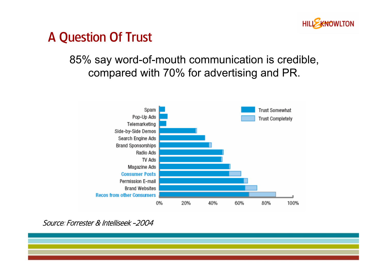

## A Question Of Trust

#### 85% say word-of-mouth communication is credible, compared with 70% for advertising and PR.



Source: Forrester & Intelliseek -2004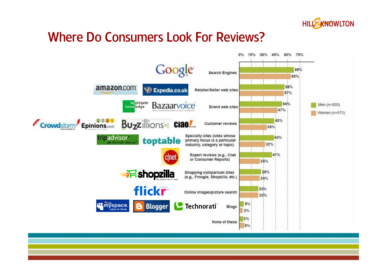

### Where Do Consumers Look For Reviews?

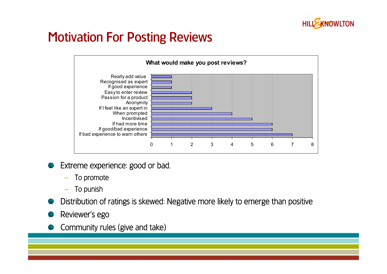

### Motivation For Posting Reviews



- Extreme experience: good or bad.
	- To promote
	- To punish
- Distribution of ratings is skewed: Negative more likely to emerge than positive
- Reviewer's ego
- Community rules (give and take)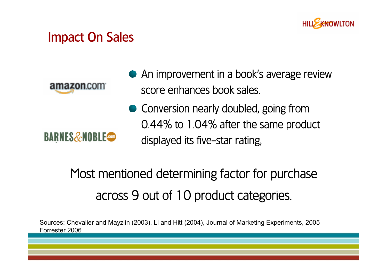

#### Impact On Sales

amazon.com

**BARNES&NOBLE** 

- An improvement in a book's average review score enhances book sales.
- Conversion nearly doubled, going from 0.44% to 1.04% after the same product displayed its five-star rating,

# Most mentioned determining factor for purchase across 9 out of 10 product categories.

Sources: Chevalier and Mayzlin (2003), Li and Hitt (2004), Journal of Marketing Experiments, 2005 Forrester 2006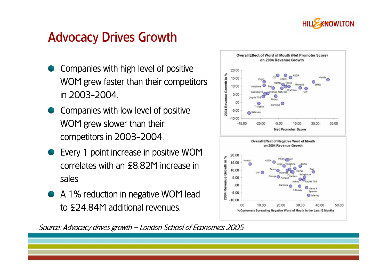

## Advocacy Drives Growth

- Companies with high level of positive WOM grew faster than their competitors in 2003-2004.
- Companies with low level of positive WOM grew slower than their competitors in 2003-2004.
- Every 1 point increase in positive WOM correlates with an £8.82M increase in sales
- A 1% reduction in negative WOM lead to £24.84M additional revenues.



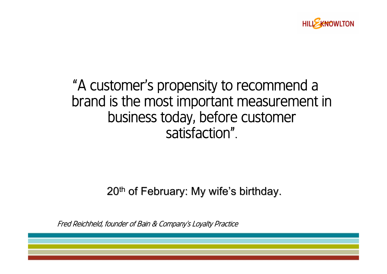

## "A customer's propensity to recommend a brand is the most important measurement in business today, before customer satisfaction".

#### $20<sup>th</sup>$  of February: My wife's birthday.

Fred Reichheld, founder of Bain & Company's Loyalty Practice